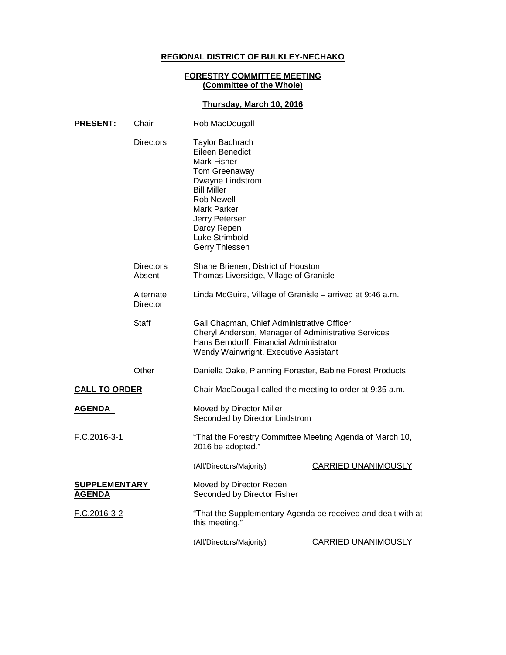# **REGIONAL DISTRICT OF BULKLEY-NECHAKO**

#### **FORESTRY COMMITTEE MEETING (Committee of the Whole)**

### **Thursday, March 10, 2016**

| <b>PRESENT:</b>                       | Chair                      | Rob MacDougall                                                                                                                                                                                                                             |                            |
|---------------------------------------|----------------------------|--------------------------------------------------------------------------------------------------------------------------------------------------------------------------------------------------------------------------------------------|----------------------------|
|                                       | Directors                  | <b>Taylor Bachrach</b><br>Eileen Benedict<br><b>Mark Fisher</b><br>Tom Greenaway<br>Dwayne Lindstrom<br><b>Bill Miller</b><br><b>Rob Newell</b><br><b>Mark Parker</b><br>Jerry Petersen<br>Darcy Repen<br>Luke Strimbold<br>Gerry Thiessen |                            |
|                                       | <b>Directors</b><br>Absent | Shane Brienen, District of Houston<br>Thomas Liversidge, Village of Granisle                                                                                                                                                               |                            |
|                                       | Alternate<br>Director      | Linda McGuire, Village of Granisle - arrived at 9:46 a.m.                                                                                                                                                                                  |                            |
|                                       | <b>Staff</b>               | Gail Chapman, Chief Administrative Officer<br>Cheryl Anderson, Manager of Administrative Services<br>Hans Berndorff, Financial Administrator<br>Wendy Wainwright, Executive Assistant                                                      |                            |
|                                       | Other                      | Daniella Oake, Planning Forester, Babine Forest Products                                                                                                                                                                                   |                            |
| <b>CALL TO ORDER</b>                  |                            | Chair MacDougall called the meeting to order at 9:35 a.m.                                                                                                                                                                                  |                            |
| <b>AGENDA</b>                         |                            | Moved by Director Miller<br>Seconded by Director Lindstrom                                                                                                                                                                                 |                            |
| F.C.2016-3-1                          |                            | "That the Forestry Committee Meeting Agenda of March 10,<br>2016 be adopted."                                                                                                                                                              |                            |
|                                       |                            | (All/Directors/Majority)                                                                                                                                                                                                                   | <b>CARRIED UNANIMOUSLY</b> |
| <b>SUPPLEMENTARY</b><br><b>AGENDA</b> |                            | Moved by Director Repen<br>Seconded by Director Fisher                                                                                                                                                                                     |                            |
| F.C.2016-3-2                          |                            | "That the Supplementary Agenda be received and dealt with at<br>this meeting."                                                                                                                                                             |                            |
|                                       |                            | (All/Directors/Majority)                                                                                                                                                                                                                   | CARRIED UNANIMOUSLY        |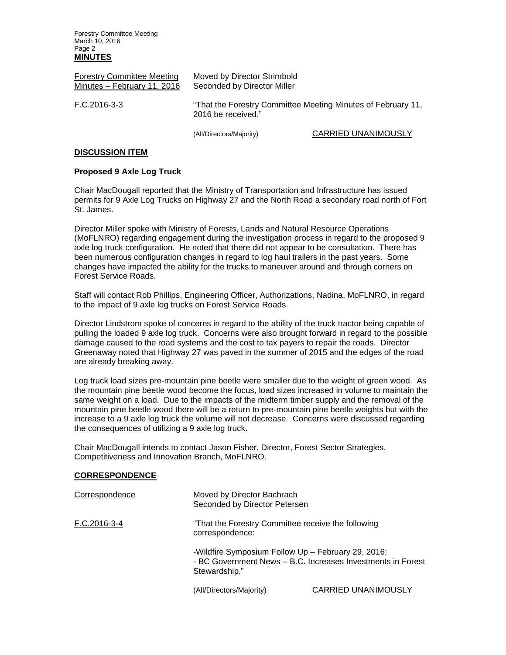Forestry Committee Meeting March 10, 2016 Page 2 **MINUTES**

| <b>Forestry Committee Meeting</b><br>Minutes - February 11, 2016 | Moved by Director Strimbold<br>Seconded by Director Miller<br>"That the Forestry Committee Meeting Minutes of February 11,<br>2016 be received." |                            |
|------------------------------------------------------------------|--------------------------------------------------------------------------------------------------------------------------------------------------|----------------------------|
| F.C.2016-3-3                                                     |                                                                                                                                                  |                            |
|                                                                  | (All/Directors/Majority)                                                                                                                         | <b>CARRIED UNANIMOUSLY</b> |

### **DISCUSSION ITEM**

### **Proposed 9 Axle Log Truck**

Chair MacDougall reported that the Ministry of Transportation and Infrastructure has issued permits for 9 Axle Log Trucks on Highway 27 and the North Road a secondary road north of Fort St. James.

Director Miller spoke with Ministry of Forests, Lands and Natural Resource Operations (MoFLNRO) regarding engagement during the investigation process in regard to the proposed 9 axle log truck configuration. He noted that there did not appear to be consultation. There has been numerous configuration changes in regard to log haul trailers in the past years. Some changes have impacted the ability for the trucks to maneuver around and through corners on Forest Service Roads.

Staff will contact Rob Phillips, Engineering Officer, Authorizations, Nadina, MoFLNRO, in regard to the impact of 9 axle log trucks on Forest Service Roads.

Director Lindstrom spoke of concerns in regard to the ability of the truck tractor being capable of pulling the loaded 9 axle log truck. Concerns were also brought forward in regard to the possible damage caused to the road systems and the cost to tax payers to repair the roads. Director Greenaway noted that Highway 27 was paved in the summer of 2015 and the edges of the road are already breaking away.

Log truck load sizes pre-mountain pine beetle were smaller due to the weight of green wood. As the mountain pine beetle wood become the focus, load sizes increased in volume to maintain the same weight on a load. Due to the impacts of the midterm timber supply and the removal of the mountain pine beetle wood there will be a return to pre-mountain pine beetle weights but with the increase to a 9 axle log truck the volume will not decrease. Concerns were discussed regarding the consequences of utilizing a 9 axle log truck.

Chair MacDougall intends to contact Jason Fisher, Director, Forest Sector Strategies, Competitiveness and Innovation Branch, MoFLNRO.

#### **CORRESPONDENCE**

| Correspondence | Moved by Director Bachrach<br>Seconded by Director Petersen |                                                                                                                   |  |
|----------------|-------------------------------------------------------------|-------------------------------------------------------------------------------------------------------------------|--|
| F.C.2016-3-4   | correspondence:                                             | "That the Forestry Committee receive the following"                                                               |  |
|                | Stewardship."                                               | -Wildfire Symposium Follow Up - February 29, 2016;<br>- BC Government News - B.C. Increases Investments in Forest |  |
|                | (All/Directors/Majority)                                    | <b>CARRIED UNANIMOUSLY</b>                                                                                        |  |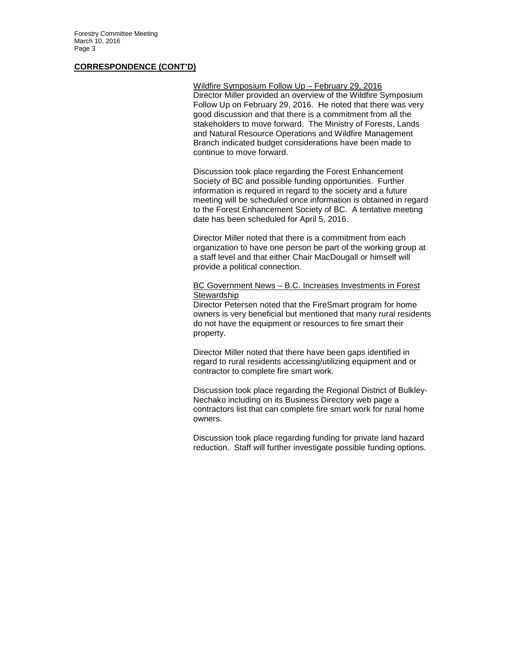Forestry Committee Meeting March 10, 2016 Page 3

#### **CORRESPONDENCE (CONT'D)**

Wildfire Symposium Follow Up – February 29, 2016 Director Miller provided an overview of the Wildfire Symposium Follow Up on February 29, 2016. He noted that there was very good discussion and that there is a commitment from all the stakeholders to move forward. The Ministry of Forests, Lands and Natural Resource Operations and Wildfire Management Branch indicated budget considerations have been made to continue to move forward.

Discussion took place regarding the Forest Enhancement Society of BC and possible funding opportunities. Further information is required in regard to the society and a future meeting will be scheduled once information is obtained in regard to the Forest Enhancement Society of BC. A tentative meeting date has been scheduled for April 5, 2016.

Director Miller noted that there is a commitment from each organization to have one person be part of the working group at a staff level and that either Chair MacDougall or himself will provide a political connection.

#### BC Government News – B.C. Increases Investments in Forest **Stewardship**

Director Petersen noted that the FireSmart program for home owners is very beneficial but mentioned that many rural residents do not have the equipment or resources to fire smart their property.

Director Miller noted that there have been gaps identified in regard to rural residents accessing/utilizing equipment and or contractor to complete fire smart work.

Discussion took place regarding the Regional District of Bulkley-Nechako including on its Business Directory web page a contractors list that can complete fire smart work for rural home owners.

Discussion took place regarding funding for private land hazard reduction. Staff will further investigate possible funding options.